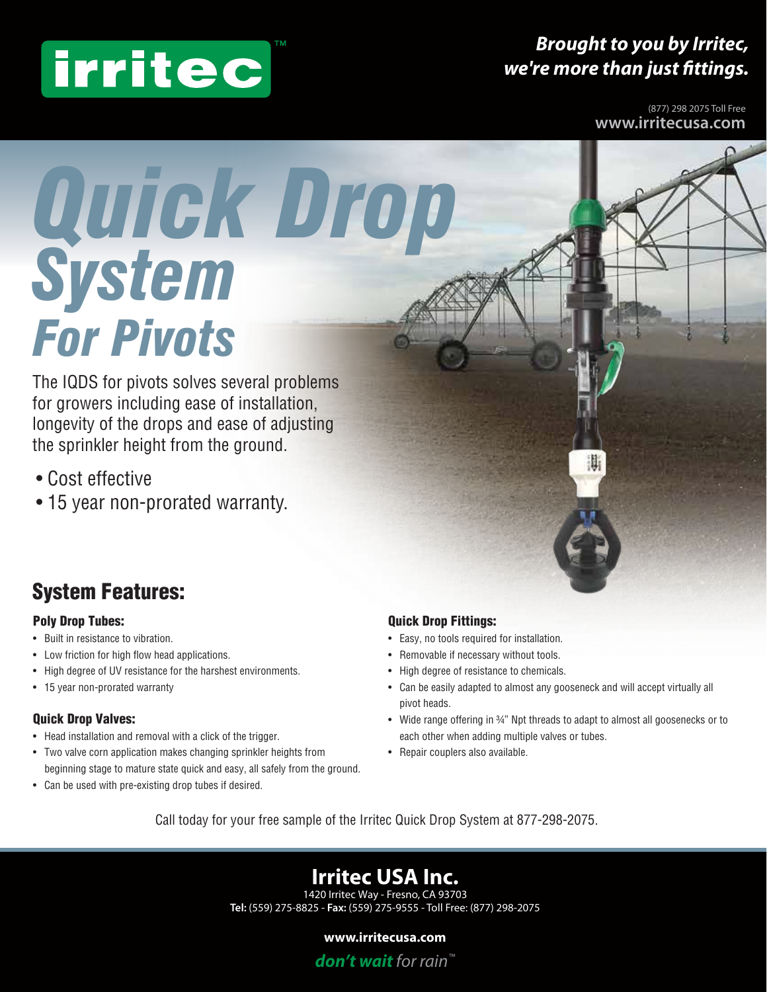# irritec

## *Brought to you by Irritec, we're more than just fittings.*

(877) 298 2075 Toll Free **www.irritecusa.com**

# *For Pivots Quick Drop System*

The IQDS for pivots solves several problems for growers including ease of installation, longevity of the drops and ease of adjusting the sprinkler height from the ground.

- Cost effective
- 15 year non-prorated warranty.

## System Features:

### Poly Drop Tubes:

- Built in resistance to vibration.
- Low friction for high flow head applications.
- High degree of UV resistance for the harshest environments.
- 15 year non-prorated warranty

### Quick Drop Valves:

- Head installation and removal with a click of the trigger.
- Two valve corn application makes changing sprinkler heights from beginning stage to mature state quick and easy, all safely from the ground.
- Can be used with pre-existing drop tubes if desired.

### Quick Drop Fittings:

- Easy, no tools required for installation.
- Removable if necessary without tools.
- High degree of resistance to chemicals.
- Can be easily adapted to almost any gooseneck and will accept virtually all pivot heads.
- Wide range offering in 34" Npt threads to adapt to almost all goosenecks or to each other when adding multiple valves or tubes.

Ш,

• Repair couplers also available.

Call today for your free sample of the Irritec Quick Drop System at 877-298-2075.

## **Irritec USA Inc.**<br>1420 Irritec Way - Fresno, CA 93703

**Tel:** (559) 275-8825 - **Fax:** (559) 275-9555 - Toll Free: (877) 298-2075

### **www.irritecusa.com**

*don't wait for rain™*